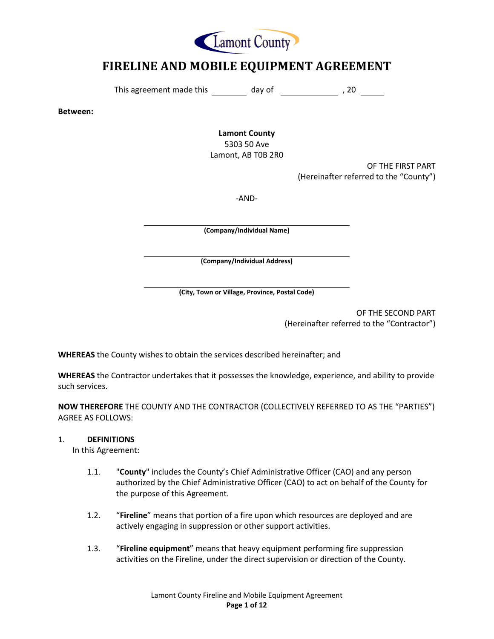

# **FIRELINE AND MOBILE EQUIPMENT AGREEMENT**

This agreement made this  $\frac{1}{\sqrt{2\pi}}$  day of  $\frac{1}{\sqrt{2\pi}}$ , 20  $\frac{1}{\sqrt{2\pi}}$ 

**Between:** 

**Lamont County** 5303 50 Ave

Lamont, AB T0B 2R0

OF THE FIRST PART (Hereinafter referred to the "County")

-AND-

**(Company/Individual Name)**

**(Company/Individual Address)**

**(City, Town or Village, Province, Postal Code)**

OF THE SECOND PART (Hereinafter referred to the "Contractor")

**WHEREAS** the County wishes to obtain the services described hereinafter; and

**WHEREAS** the Contractor undertakes that it possesses the knowledge, experience, and ability to provide such services.

**NOW THEREFORE** THE COUNTY AND THE CONTRACTOR (COLLECTIVELY REFERRED TO AS THE "PARTIES") AGREE AS FOLLOWS:

## 1. **DEFINITIONS**

In this Agreement:

- 1.1. "**County**" includes the County's Chief Administrative Officer (CAO) and any person authorized by the Chief Administrative Officer (CAO) to act on behalf of the County for the purpose of this Agreement.
- 1.2. "**Fireline**" means that portion of a fire upon which resources are deployed and are actively engaging in suppression or other support activities.
- 1.3. "**Fireline equipment**" means that heavy equipment performing fire suppression activities on the Fireline, under the direct supervision or direction of the County.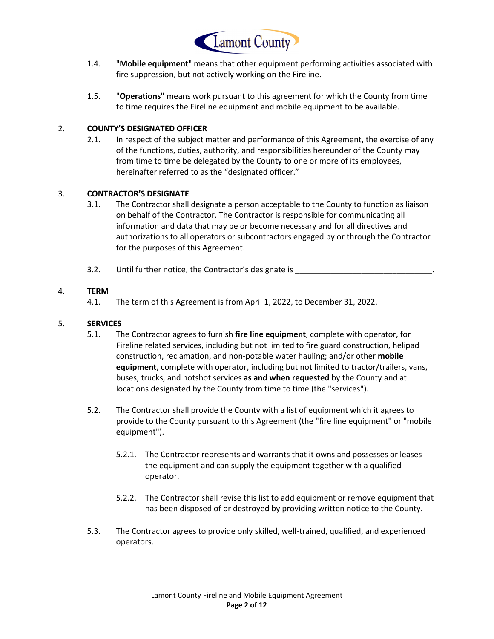

- 1.4. "**Mobile equipment**" means that other equipment performing activities associated with fire suppression, but not actively working on the Fireline.
- 1.5. "**Operations"** means work pursuant to this agreement for which the County from time to time requires the Fireline equipment and mobile equipment to be available.

## 2. **COUNTY'S DESIGNATED OFFICER**

2.1. In respect of the subject matter and performance of this Agreement, the exercise of any of the functions, duties, authority, and responsibilities hereunder of the County may from time to time be delegated by the County to one or more of its employees, hereinafter referred to as the "designated officer."

## 3. **CONTRACTOR'S DESIGNATE**

- 3.1. The Contractor shall designate a person acceptable to the County to function as liaison on behalf of the Contractor. The Contractor is responsible for communicating all information and data that may be or become necessary and for all directives and authorizations to all operators or subcontractors engaged by or through the Contractor for the purposes of this Agreement.
- 3.2. Until further notice, the Contractor's designate is

## 4. **TERM**

4.1. The term of this Agreement is from April 1, 2022, to December 31, 2022.

## 5. **SERVICES**

- 5.1. The Contractor agrees to furnish **fire line equipment**, complete with operator, for Fireline related services, including but not limited to fire guard construction, helipad construction, reclamation, and non-potable water hauling; and/or other **mobile equipment**, complete with operator, including but not limited to tractor/trailers, vans, buses, trucks, and hotshot services **as and when requested** by the County and at locations designated by the County from time to time (the "services").
- 5.2. The Contractor shall provide the County with a list of equipment which it agrees to provide to the County pursuant to this Agreement (the "fire line equipment" or "mobile equipment").
	- 5.2.1. The Contractor represents and warrants that it owns and possesses or leases the equipment and can supply the equipment together with a qualified operator.
	- 5.2.2. The Contractor shall revise this list to add equipment or remove equipment that has been disposed of or destroyed by providing written notice to the County.
- 5.3. The Contractor agrees to provide only skilled, well-trained, qualified, and experienced operators.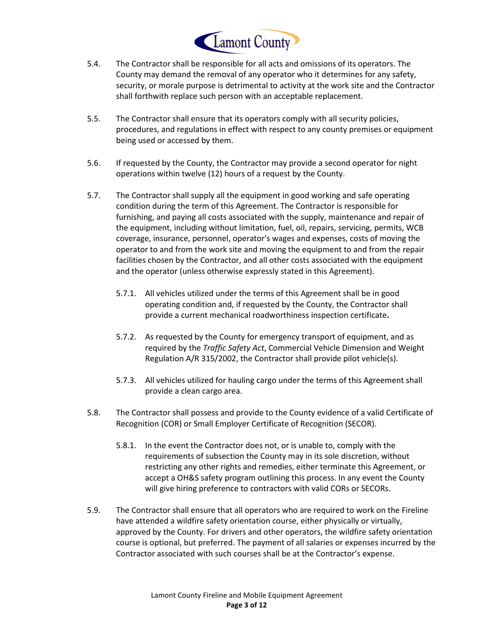

- 5.4. The Contractor shall be responsible for all acts and omissions of its operators. The County may demand the removal of any operator who it determines for any safety, security, or morale purpose is detrimental to activity at the work site and the Contractor shall forthwith replace such person with an acceptable replacement.
- 5.5. The Contractor shall ensure that its operators comply with all security policies, procedures, and regulations in effect with respect to any county premises or equipment being used or accessed by them.
- 5.6. If requested by the County, the Contractor may provide a second operator for night operations within twelve (12) hours of a request by the County.
- 5.7. The Contractor shall supply all the equipment in good working and safe operating condition during the term of this Agreement. The Contractor is responsible for furnishing, and paying all costs associated with the supply, maintenance and repair of the equipment, including without limitation, fuel, oil, repairs, servicing, permits, WCB coverage, insurance, personnel, operator's wages and expenses, costs of moving the operator to and from the work site and moving the equipment to and from the repair facilities chosen by the Contractor, and all other costs associated with the equipment and the operator (unless otherwise expressly stated in this Agreement).
	- 5.7.1. All vehicles utilized under the terms of this Agreement shall be in good operating condition and, if requested by the County, the Contractor shall provide a current mechanical roadworthiness inspection certificate**.**
	- 5.7.2. As requested by the County for emergency transport of equipment, and as required by the *Traffic Safety Act*, Commercial Vehicle Dimension and Weight Regulation A/R 315/2002, the Contractor shall provide pilot vehicle(s).
	- 5.7.3. All vehicles utilized for hauling cargo under the terms of this Agreement shall provide a clean cargo area.
- 5.8. The Contractor shall possess and provide to the County evidence of a valid Certificate of Recognition (COR) or Small Employer Certificate of Recognition (SECOR).
	- 5.8.1. In the event the Contractor does not, or is unable to, comply with the requirements of subsection the County may in its sole discretion, without restricting any other rights and remedies, either terminate this Agreement, or accept a OH&S safety program outlining this process. In any event the County will give hiring preference to contractors with valid CORs or SECORs.
- 5.9. The Contractor shall ensure that all operators who are required to work on the Fireline have attended a wildfire safety orientation course, either physically or virtually, approved by the County. For drivers and other operators, the wildfire safety orientation course is optional, but preferred. The payment of all salaries or expenses incurred by the Contractor associated with such courses shall be at the Contractor's expense.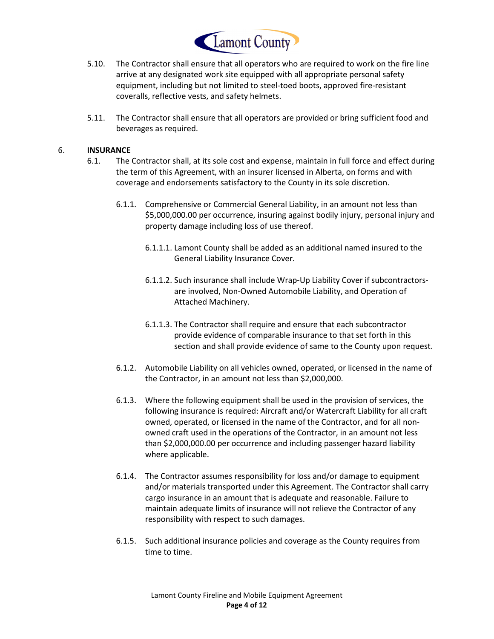

- 5.10. The Contractor shall ensure that all operators who are required to work on the fire line arrive at any designated work site equipped with all appropriate personal safety equipment, including but not limited to steel-toed boots, approved fire-resistant coveralls, reflective vests, and safety helmets.
- 5.11. The Contractor shall ensure that all operators are provided or bring sufficient food and beverages as required.

## 6. **INSURANCE**

- 6.1. The Contractor shall, at its sole cost and expense, maintain in full force and effect during the term of this Agreement, with an insurer licensed in Alberta, on forms and with coverage and endorsements satisfactory to the County in its sole discretion.
	- 6.1.1. Comprehensive or Commercial General Liability, in an amount not less than \$5,000,000.00 per occurrence, insuring against bodily injury, personal injury and property damage including loss of use thereof.
		- 6.1.1.1. Lamont County shall be added as an additional named insured to the General Liability Insurance Cover.
		- 6.1.1.2. Such insurance shall include Wrap-Up Liability Cover if subcontractorsare involved, Non-Owned Automobile Liability, and Operation of Attached Machinery.
		- 6.1.1.3. The Contractor shall require and ensure that each subcontractor provide evidence of comparable insurance to that set forth in this section and shall provide evidence of same to the County upon request.
	- 6.1.2. Automobile Liability on all vehicles owned, operated, or licensed in the name of the Contractor, in an amount not less than \$2,000,000.
	- 6.1.3. Where the following equipment shall be used in the provision of services, the following insurance is required: Aircraft and/or Watercraft Liability for all craft owned, operated, or licensed in the name of the Contractor, and for all nonowned craft used in the operations of the Contractor, in an amount not less than \$2,000,000.00 per occurrence and including passenger hazard liability where applicable.
	- 6.1.4. The Contractor assumes responsibility for loss and/or damage to equipment and/or materials transported under this Agreement. The Contractor shall carry cargo insurance in an amount that is adequate and reasonable. Failure to maintain adequate limits of insurance will not relieve the Contractor of any responsibility with respect to such damages.
	- 6.1.5. Such additional insurance policies and coverage as the County requires from time to time.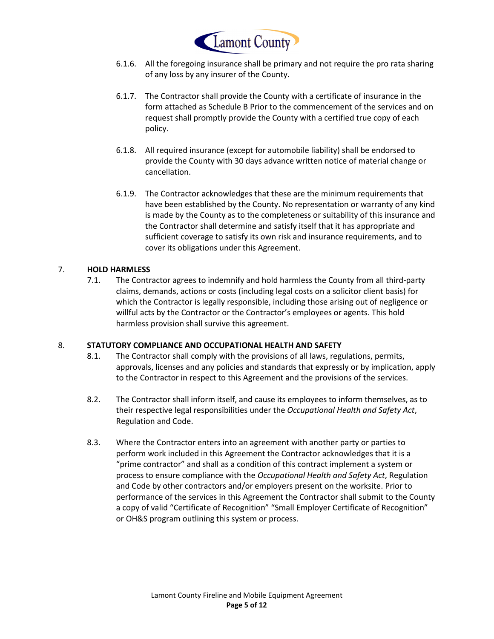

- 6.1.6. All the foregoing insurance shall be primary and not require the pro rata sharing of any loss by any insurer of the County.
- 6.1.7. The Contractor shall provide the County with a certificate of insurance in the form attached as Schedule B Prior to the commencement of the services and on request shall promptly provide the County with a certified true copy of each policy.
- 6.1.8. All required insurance (except for automobile liability) shall be endorsed to provide the County with 30 days advance written notice of material change or cancellation.
- 6.1.9. The Contractor acknowledges that these are the minimum requirements that have been established by the County. No representation or warranty of any kind is made by the County as to the completeness or suitability of this insurance and the Contractor shall determine and satisfy itself that it has appropriate and sufficient coverage to satisfy its own risk and insurance requirements, and to cover its obligations under this Agreement.

## 7. **HOLD HARMLESS**

7.1. The Contractor agrees to indemnify and hold harmless the County from all third-party claims, demands, actions or costs (including legal costs on a solicitor client basis) for which the Contractor is legally responsible, including those arising out of negligence or willful acts by the Contractor or the Contractor's employees or agents. This hold harmless provision shall survive this agreement.

#### 8. **STATUTORY COMPLIANCE AND OCCUPATIONAL HEALTH AND SAFETY**

- 8.1. The Contractor shall comply with the provisions of all laws, regulations, permits, approvals, licenses and any policies and standards that expressly or by implication, apply to the Contractor in respect to this Agreement and the provisions of the services.
- 8.2. The Contractor shall inform itself, and cause its employees to inform themselves, as to their respective legal responsibilities under the *Occupational Health and Safety Act*, Regulation and Code.
- 8.3. Where the Contractor enters into an agreement with another party or parties to perform work included in this Agreement the Contractor acknowledges that it is a "prime contractor" and shall as a condition of this contract implement a system or process to ensure compliance with the *Occupational Health and Safety Act*, Regulation and Code by other contractors and/or employers present on the worksite. Prior to performance of the services in this Agreement the Contractor shall submit to the County a copy of valid "Certificate of Recognition" "Small Employer Certificate of Recognition" or OH&S program outlining this system or process.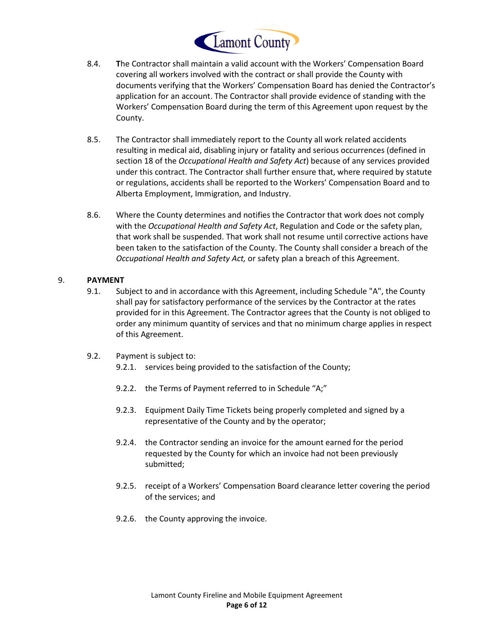

- 8.4. **T**he Contractor shall maintain a valid account with the Workers' Compensation Board covering all workers involved with the contract or shall provide the County with documents verifying that the Workers' Compensation Board has denied the Contractor's application for an account. The Contractor shall provide evidence of standing with the Workers' Compensation Board during the term of this Agreement upon request by the County.
- 8.5. The Contractor shall immediately report to the County all work related accidents resulting in medical aid, disabling injury or fatality and serious occurrences (defined in section 18 of the *Occupational Health and Safety Act*) because of any services provided under this contract. The Contractor shall further ensure that, where required by statute or regulations, accidents shall be reported to the Workers' Compensation Board and to Alberta Employment, Immigration, and Industry.
- 8.6. Where the County determines and notifies the Contractor that work does not comply with the *Occupational Health and Safety Act*, Regulation and Code or the safety plan, that work shall be suspended. That work shall not resume until corrective actions have been taken to the satisfaction of the County. The County shall consider a breach of the *Occupational Health and Safety Act,* or safety plan a breach of this Agreement.

## 9. **PAYMENT**

- 9.1. Subject to and in accordance with this Agreement, including Schedule "A", the County shall pay for satisfactory performance of the services by the Contractor at the rates provided for in this Agreement. The Contractor agrees that the County is not obliged to order any minimum quantity of services and that no minimum charge applies in respect of this Agreement.
- 9.2. Payment is subject to:
	- 9.2.1. services being provided to the satisfaction of the County;
	- 9.2.2. the Terms of Payment referred to in Schedule "A;"
	- 9.2.3. Equipment Daily Time Tickets being properly completed and signed by a representative of the County and by the operator;
	- 9.2.4. the Contractor sending an invoice for the amount earned for the period requested by the County for which an invoice had not been previously submitted;
	- 9.2.5. receipt of a Workers' Compensation Board clearance letter covering the period of the services; and
	- 9.2.6. the County approving the invoice.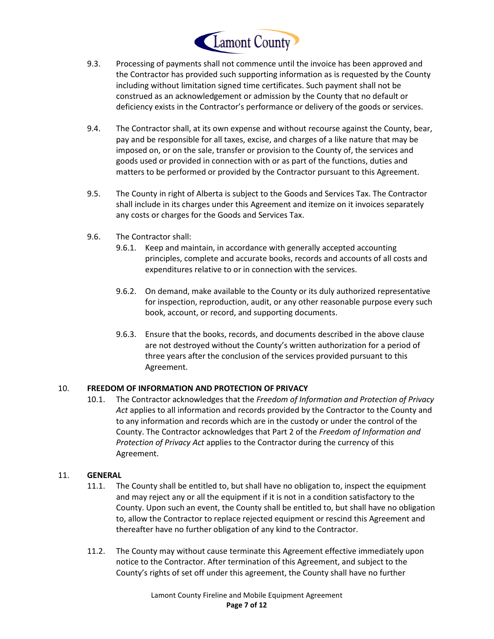

- 9.3. Processing of payments shall not commence until the invoice has been approved and the Contractor has provided such supporting information as is requested by the County including without limitation signed time certificates. Such payment shall not be construed as an acknowledgement or admission by the County that no default or deficiency exists in the Contractor's performance or delivery of the goods or services.
- 9.4. The Contractor shall, at its own expense and without recourse against the County, bear, pay and be responsible for all taxes, excise, and charges of a like nature that may be imposed on, or on the sale, transfer or provision to the County of, the services and goods used or provided in connection with or as part of the functions, duties and matters to be performed or provided by the Contractor pursuant to this Agreement.
- 9.5. The County in right of Alberta is subject to the Goods and Services Tax. The Contractor shall include in its charges under this Agreement and itemize on it invoices separately any costs or charges for the Goods and Services Tax.
- 9.6. The Contractor shall:
	- 9.6.1. Keep and maintain, in accordance with generally accepted accounting principles, complete and accurate books, records and accounts of all costs and expenditures relative to or in connection with the services.
	- 9.6.2. On demand, make available to the County or its duly authorized representative for inspection, reproduction, audit, or any other reasonable purpose every such book, account, or record, and supporting documents.
	- 9.6.3. Ensure that the books, records, and documents described in the above clause are not destroyed without the County's written authorization for a period of three years after the conclusion of the services provided pursuant to this Agreement.

## 10. **FREEDOM OF INFORMATION AND PROTECTION OF PRIVACY**

10.1. The Contractor acknowledges that the *Freedom of Information and Protection of Privacy Act* applies to all information and records provided by the Contractor to the County and to any information and records which are in the custody or under the control of the County. The Contractor acknowledges that Part 2 of the *Freedom of Information and Protection of Privacy Act* applies to the Contractor during the currency of this Agreement.

## 11. **GENERAL**

- 11.1. The County shall be entitled to, but shall have no obligation to, inspect the equipment and may reject any or all the equipment if it is not in a condition satisfactory to the County. Upon such an event, the County shall be entitled to, but shall have no obligation to, allow the Contractor to replace rejected equipment or rescind this Agreement and thereafter have no further obligation of any kind to the Contractor.
- 11.2. The County may without cause terminate this Agreement effective immediately upon notice to the Contractor. After termination of this Agreement, and subject to the County's rights of set off under this agreement, the County shall have no further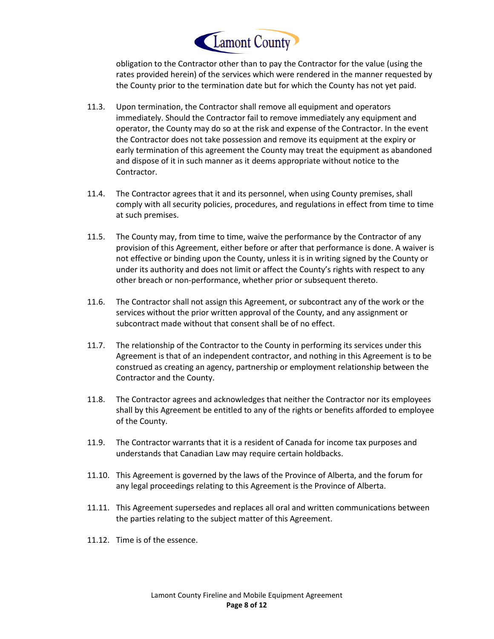

obligation to the Contractor other than to pay the Contractor for the value (using the rates provided herein) of the services which were rendered in the manner requested by the County prior to the termination date but for which the County has not yet paid.

- 11.3. Upon termination, the Contractor shall remove all equipment and operators immediately. Should the Contractor fail to remove immediately any equipment and operator, the County may do so at the risk and expense of the Contractor. In the event the Contractor does not take possession and remove its equipment at the expiry or early termination of this agreement the County may treat the equipment as abandoned and dispose of it in such manner as it deems appropriate without notice to the Contractor.
- 11.4. The Contractor agrees that it and its personnel, when using County premises, shall comply with all security policies, procedures, and regulations in effect from time to time at such premises.
- 11.5. The County may, from time to time, waive the performance by the Contractor of any provision of this Agreement, either before or after that performance is done. A waiver is not effective or binding upon the County, unless it is in writing signed by the County or under its authority and does not limit or affect the County's rights with respect to any other breach or non-performance, whether prior or subsequent thereto.
- 11.6. The Contractor shall not assign this Agreement, or subcontract any of the work or the services without the prior written approval of the County, and any assignment or subcontract made without that consent shall be of no effect.
- 11.7. The relationship of the Contractor to the County in performing its services under this Agreement is that of an independent contractor, and nothing in this Agreement is to be construed as creating an agency, partnership or employment relationship between the Contractor and the County.
- 11.8. The Contractor agrees and acknowledges that neither the Contractor nor its employees shall by this Agreement be entitled to any of the rights or benefits afforded to employee of the County.
- 11.9. The Contractor warrants that it is a resident of Canada for income tax purposes and understands that Canadian Law may require certain holdbacks.
- 11.10. This Agreement is governed by the laws of the Province of Alberta, and the forum for any legal proceedings relating to this Agreement is the Province of Alberta.
- 11.11. This Agreement supersedes and replaces all oral and written communications between the parties relating to the subject matter of this Agreement.
- 11.12. Time is of the essence.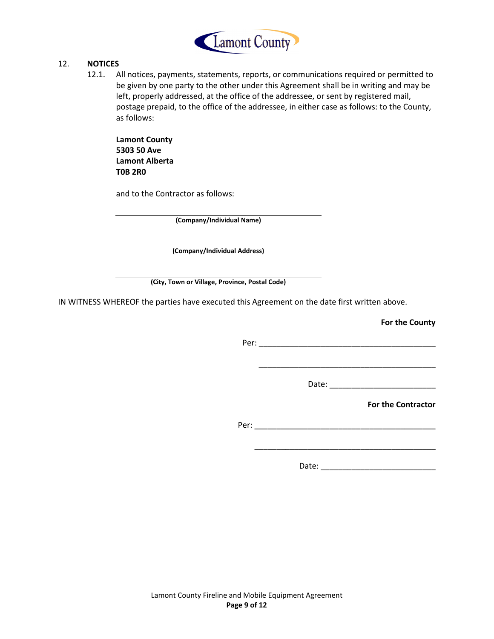

#### 12. **NOTICES**

12.1. All notices, payments, statements, reports, or communications required or permitted to be given by one party to the other under this Agreement shall be in writing and may be left, properly addressed, at the office of the addressee, or sent by registered mail, postage prepaid, to the office of the addressee, in either case as follows: to the County, as follows:

**Lamont County 5303 50 Ave Lamont Alberta T0B 2R0** 

and to the Contractor as follows:

**(Company/Individual Name)**

**(Company/Individual Address)**

**(City, Town or Village, Province, Postal Code)**

IN WITNESS WHEREOF the parties have executed this Agreement on the date first written above.

**For the County**

Per: \_\_\_\_\_\_\_\_\_\_\_\_\_\_\_\_\_\_\_\_\_\_\_\_\_\_\_\_\_\_\_\_\_\_\_\_\_\_\_\_

Date: \_\_\_\_\_\_\_\_\_\_\_\_\_\_\_\_\_\_\_\_\_\_\_\_

**For the Contractor**

Per: \_\_\_\_\_\_\_\_\_\_\_\_\_\_\_\_\_\_\_\_\_\_\_\_\_\_\_\_\_\_\_\_\_\_\_\_\_\_\_\_\_

\_\_\_\_\_\_\_\_\_\_\_\_\_\_\_\_\_\_\_\_\_\_\_\_\_\_\_\_\_\_\_\_\_\_\_\_\_\_\_\_\_

\_\_\_\_\_\_\_\_\_\_\_\_\_\_\_\_\_\_\_\_\_\_\_\_\_\_\_\_\_\_\_\_\_\_\_\_\_\_\_\_

Date: \_\_\_\_\_\_\_\_\_\_\_\_\_\_\_\_\_\_\_\_\_\_\_\_\_\_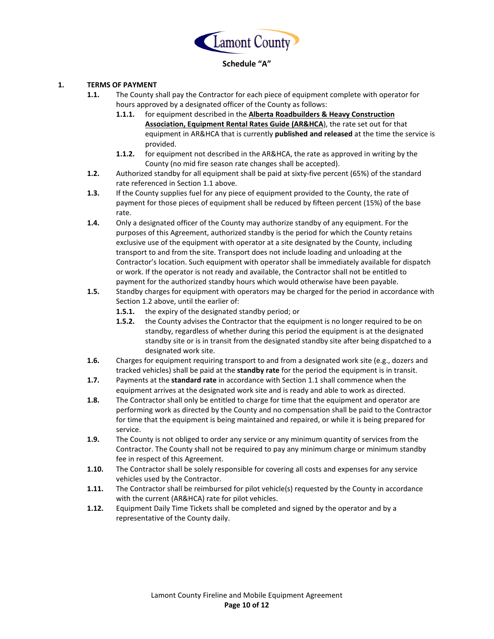

# **Schedule "A"**

#### **1. TERMS OF PAYMENT**

- **1.1.** The County shall pay the Contractor for each piece of equipment complete with operator for hours approved by a designated officer of the County as follows:
	- **1.1.1.** for equipment described in the **Alberta Roadbuilders & Heavy Construction Association, Equipment Rental Rates Guide (AR&HCA**), the rate set out for that equipment in AR&HCA that is currently **published and released** at the time the service is provided.
	- **1.1.2.** for equipment not described in the AR&HCA, the rate as approved in writing by the County (no mid fire season rate changes shall be accepted).
- **1.2.** Authorized standby for all equipment shall be paid at sixty-five percent (65%) of the standard rate referenced in Section 1.1 above.
- **1.3.** If the County supplies fuel for any piece of equipment provided to the County, the rate of payment for those pieces of equipment shall be reduced by fifteen percent (15%) of the base rate.
- **1.4.** Only a designated officer of the County may authorize standby of any equipment. For the purposes of this Agreement, authorized standby is the period for which the County retains exclusive use of the equipment with operator at a site designated by the County, including transport to and from the site. Transport does not include loading and unloading at the Contractor's location. Such equipment with operator shall be immediately available for dispatch or work. If the operator is not ready and available, the Contractor shall not be entitled to payment for the authorized standby hours which would otherwise have been payable.
- **1.5.** Standby charges for equipment with operators may be charged for the period in accordance with Section 1.2 above, until the earlier of:
	- **1.5.1.** the expiry of the designated standby period; or
	- **1.5.2.** the County advises the Contractor that the equipment is no longer required to be on standby, regardless of whether during this period the equipment is at the designated standby site or is in transit from the designated standby site after being dispatched to a designated work site.
- **1.6.** Charges for equipment requiring transport to and from a designated work site (e.g., dozers and tracked vehicles) shall be paid at the **standby rate** for the period the equipment is in transit.
- **1.7.** Payments at the **standard rate** in accordance with Section 1.1 shall commence when the equipment arrives at the designated work site and is ready and able to work as directed.
- **1.8.** The Contractor shall only be entitled to charge for time that the equipment and operator are performing work as directed by the County and no compensation shall be paid to the Contractor for time that the equipment is being maintained and repaired, or while it is being prepared for service.
- **1.9.** The County is not obliged to order any service or any minimum quantity of services from the Contractor. The County shall not be required to pay any minimum charge or minimum standby fee in respect of this Agreement.
- **1.10.** The Contractor shall be solely responsible for covering all costs and expenses for any service vehicles used by the Contractor.
- **1.11.** The Contractor shall be reimbursed for pilot vehicle(s) requested by the County in accordance with the current (AR&HCA) rate for pilot vehicles.
- **1.12.** Equipment Daily Time Tickets shall be completed and signed by the operator and by a representative of the County daily.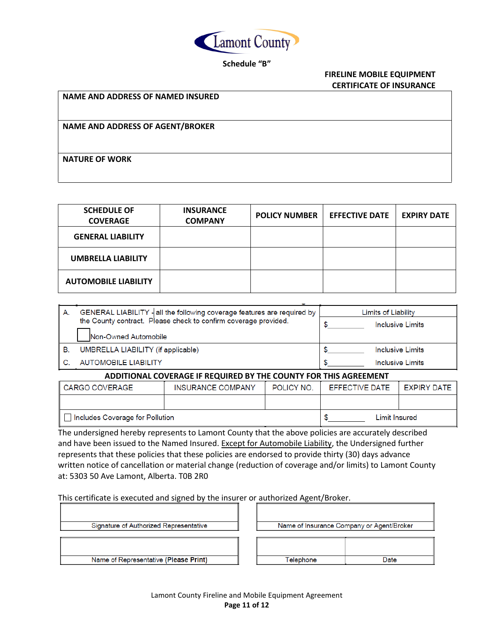

## **Schedule "B"**

#### **FIRELINE MOBILE EQUIPMENT CERTIFICATE OF INSURANCE**

**NAME AND ADDRESS OF NAMED INSURED**

**NAME AND ADDRESS OF AGENT/BROKER**

**NATURE OF WORK**

| <b>SCHEDULE OF</b><br><b>COVERAGE</b> | <b>INSURANCE</b><br><b>COMPANY</b> | <b>POLICY NUMBER</b> | <b>EFFECTIVE DATE</b> | <b>EXPIRY DATE</b> |
|---------------------------------------|------------------------------------|----------------------|-----------------------|--------------------|
| <b>GENERAL LIABILITY</b>              |                                    |                      |                       |                    |
| <b>UMBRELLA LIABILITY</b>             |                                    |                      |                       |                    |
| <b>AUTOMOBILE LIABILITY</b>           |                                    |                      |                       |                    |

| А. | GENERAL LIABILITY - all the following coverage features are required by | Limits of Liability     |  |  |  |
|----|-------------------------------------------------------------------------|-------------------------|--|--|--|
|    | the County contract. Please check to confirm coverage provided.         | Inclusive Limits        |  |  |  |
|    | Non-Owned Automobile                                                    |                         |  |  |  |
| В. | UMBRELLA LIABILITY (if applicable)                                      | <b>Inclusive Limits</b> |  |  |  |
|    | <b>AUTOMOBILE LIABILITY</b>                                             | <b>Inclusive Limits</b> |  |  |  |
|    |                                                                         |                         |  |  |  |

#### **ADDITIONAL COVERAGE IF REQUIRED BY THE COUNTY FOR THIS AGREEMENT**

| ∥ CARGO COVERAGE                | <b>INSURANCE COMPANY</b> | POLICY NO. | <b>EFFECTIVE DATE</b> | EXPIRY DATE |  |
|---------------------------------|--------------------------|------------|-----------------------|-------------|--|
|                                 |                          |            |                       |             |  |
| Includes Coverage for Pollution |                          |            | Limit Insured         |             |  |

The undersigned hereby represents to Lamont County that the above policies are accurately described and have been issued to the Named Insured. Except for Automobile Liability, the Undersigned further represents that these policies that these policies are endorsed to provide thirty (30) days advance written notice of cancellation or material change (reduction of coverage and/or limits) to Lamont County at: 5303 50 Ave Lamont, Alberta. T0B 2R0

This certificate is executed and signed by the insurer or authorized Agent/Broker.

| Signature of Authorized Representative |  | Name of Insurance Company or Agent/Broker |      |  |  |
|----------------------------------------|--|-------------------------------------------|------|--|--|
| Name of Representative (Please Print)  |  | Felephone                                 | Date |  |  |